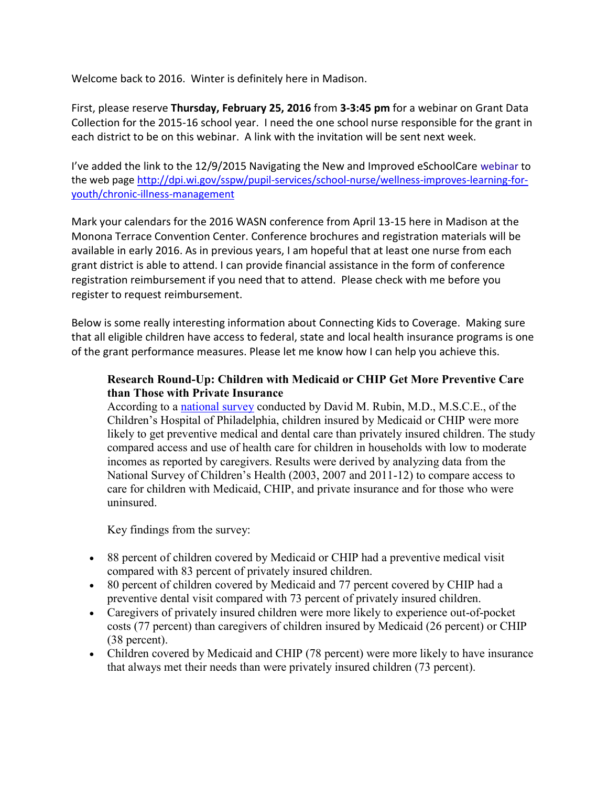Welcome back to 2016. Winter is definitely here in Madison.

First, please reserve **Thursday, February 25, 2016** from **3-3:45 pm** for a webinar on Grant Data Collection for the 2015-16 school year. I need the one school nurse responsible for the grant in each district to be on this webinar. A link with the invitation will be sent next week.

I've added the link to the 12/9/2015 Navigating the New and Improved eSchoolCare [webinar](https://player.vimeo.com/external/148949149.sd.mp4?s=275607b2ccf81cd692b0d71d3ffe45616f2786e9&profile_id=112) to the web page [http://dpi.wi.gov/sspw/pupil-services/school-nurse/wellness-improves-learning-for](http://dpi.wi.gov/sspw/pupil-services/school-nurse/wellness-improves-learning-for-youth/chronic-illness-management)[youth/chronic-illness-management](http://dpi.wi.gov/sspw/pupil-services/school-nurse/wellness-improves-learning-for-youth/chronic-illness-management)

Mark your calendars for the 2016 WASN conference from April 13-15 here in Madison at the Monona Terrace Convention Center. Conference brochures and registration materials will be available in early 2016. As in previous years, I am hopeful that at least one nurse from each grant district is able to attend. I can provide financial assistance in the form of conference registration reimbursement if you need that to attend. Please check with me before you register to request reimbursement.

Below is some really interesting information about Connecting Kids to Coverage. Making sure that all eligible children have access to federal, state and local health insurance programs is one of the grant performance measures. Please let me know how I can help you achieve this.

## **Research Round-Up: Children with Medicaid or CHIP Get More Preventive Care than Those with Private Insurance**

According to a [national survey](http://links.govdelivery.com/track?type=click&enid=ZWFzPTEmbXNpZD0mYXVpZD0mbWFpbGluZ2lkPTIwMTUxMjIyLjUzMDk0NzExJm1lc3NhZ2VpZD1NREItUFJELUJVTC0yMDE1MTIyMi41MzA5NDcxMSZkYXRhYmFzZWlkPTEwMDEmc2VyaWFsPTE3NjA3ODU0JmVtYWlsaWQ9ZnJlZGRpLmFkZWxzb25AZHBpLndpLmdvdiZ1c2VyaWQ9ZnJlZGRpLmFkZWxzb25AZHBpLndpLmdvdiZ0YXJnZXRpZD0mZmw9JmV4dHJhPU11bHRpdmFyaWF0ZUlkPSYmJg==&&&101&&&http://www.sciencecodex.com/kids_with_medicaid_chip_get_more_preventive_care_than_those_with_private_insurance-169827) conducted by David M. Rubin, M.D., M.S.C.E., of the Children's Hospital of Philadelphia, children insured by Medicaid or CHIP were more likely to get preventive medical and dental care than privately insured children. The study compared access and use of health care for children in households with low to moderate incomes as reported by caregivers. Results were derived by analyzing data from the National Survey of Children's Health (2003, 2007 and 2011-12) to compare access to care for children with Medicaid, CHIP, and private insurance and for those who were uninsured.

Key findings from the survey:

- 88 percent of children covered by Medicaid or CHIP had a preventive medical visit compared with 83 percent of privately insured children.
- 80 percent of children covered by Medicaid and 77 percent covered by CHIP had a preventive dental visit compared with 73 percent of privately insured children.
- Caregivers of privately insured children were more likely to experience out-of-pocket costs (77 percent) than caregivers of children insured by Medicaid (26 percent) or CHIP (38 percent).
- Children covered by Medicaid and CHIP (78 percent) were more likely to have insurance that always met their needs than were privately insured children (73 percent).